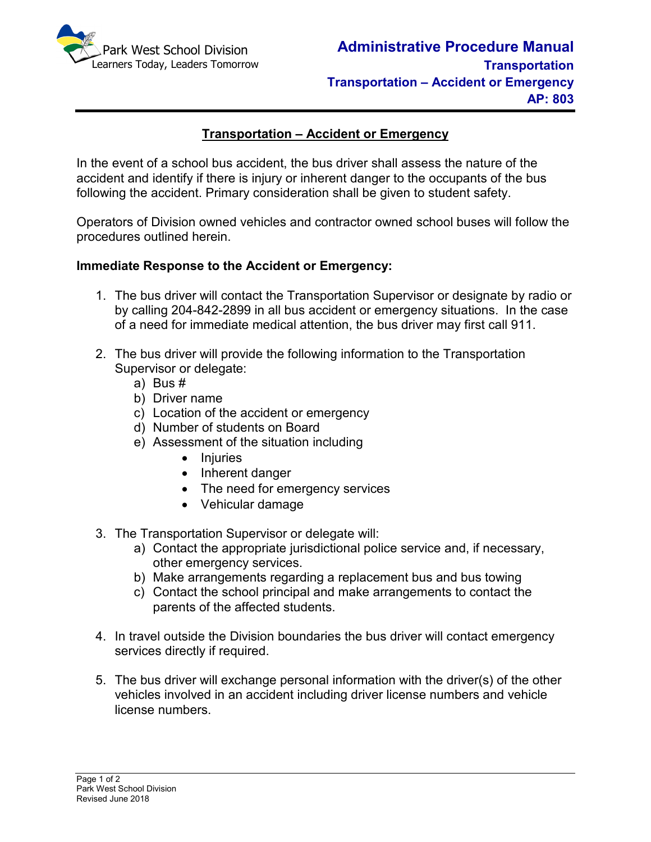

# **Transportation – Accident or Emergency**

In the event of a school bus accident, the bus driver shall assess the nature of the accident and identify if there is injury or inherent danger to the occupants of the bus following the accident. Primary consideration shall be given to student safety.

Operators of Division owned vehicles and contractor owned school buses will follow the procedures outlined herein.

### **Immediate Response to the Accident or Emergency:**

- 1. The bus driver will contact the Transportation Supervisor or designate by radio or by calling 204-842-2899 in all bus accident or emergency situations. In the case of a need for immediate medical attention, the bus driver may first call 911.
- 2. The bus driver will provide the following information to the Transportation Supervisor or delegate:
	- a) Bus #
	- b) Driver name
	- c) Location of the accident or emergency
	- d) Number of students on Board
	- e) Assessment of the situation including
		- Injuries
		- Inherent danger
		- The need for emergency services
		- Vehicular damage
- 3. The Transportation Supervisor or delegate will:
	- a) Contact the appropriate jurisdictional police service and, if necessary, other emergency services.
	- b) Make arrangements regarding a replacement bus and bus towing
	- c) Contact the school principal and make arrangements to contact the parents of the affected students.
- 4. In travel outside the Division boundaries the bus driver will contact emergency services directly if required.
- 5. The bus driver will exchange personal information with the driver(s) of the other vehicles involved in an accident including driver license numbers and vehicle license numbers.